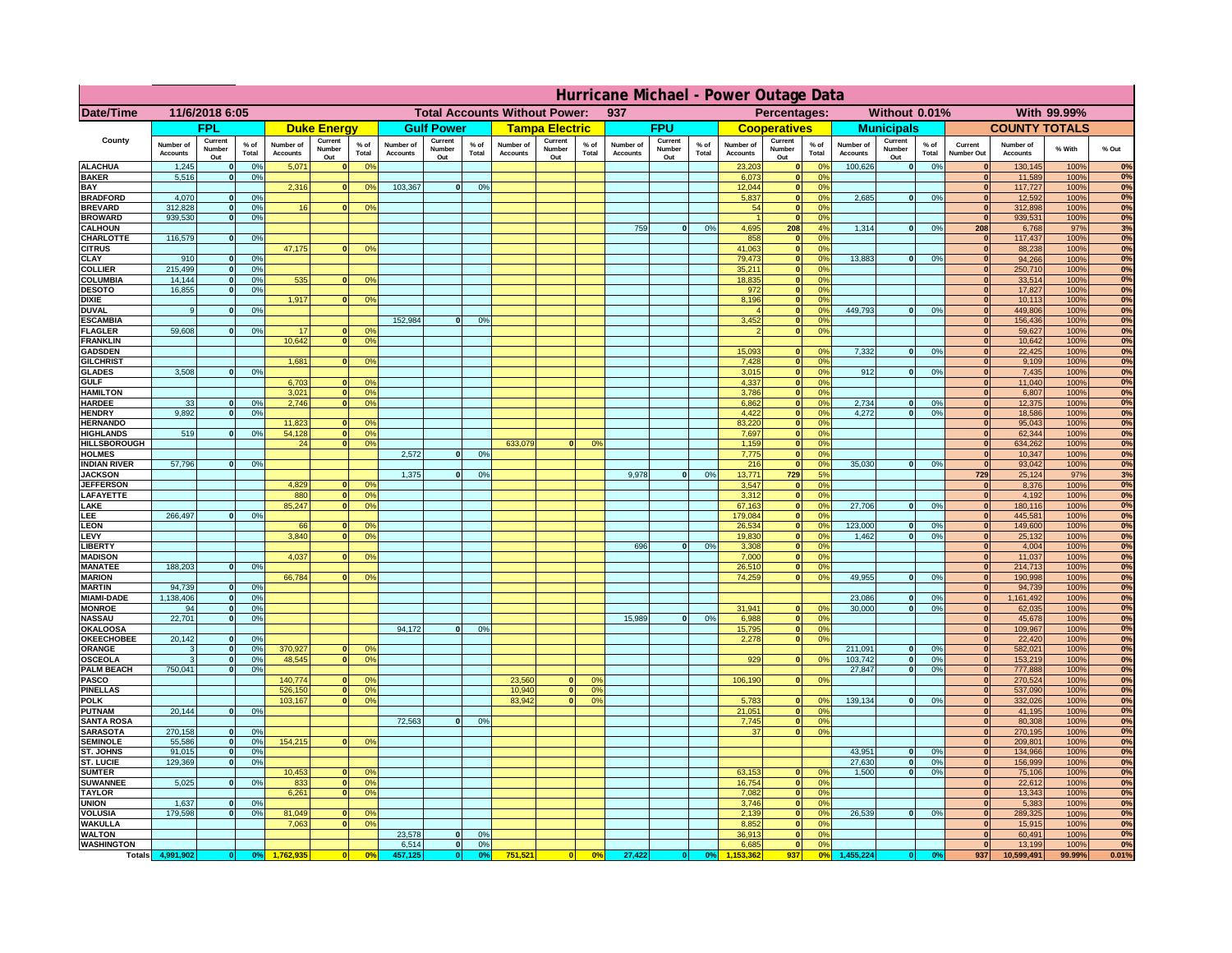|                                      | Hurricane Michael - Power Outage Data |                              |                 |                              |                                 |                                             |                              |                          |                 |                                              |                          |                                  |                              |                          |                |                              |                          |                                                |                              |                              |                 |                              |                              |              |             |
|--------------------------------------|---------------------------------------|------------------------------|-----------------|------------------------------|---------------------------------|---------------------------------------------|------------------------------|--------------------------|-----------------|----------------------------------------------|--------------------------|----------------------------------|------------------------------|--------------------------|----------------|------------------------------|--------------------------|------------------------------------------------|------------------------------|------------------------------|-----------------|------------------------------|------------------------------|--------------|-------------|
| Date/Time                            | 11/6/2018 6:05                        |                              |                 |                              |                                 | <b>Total Accounts Without Power:</b><br>937 |                              |                          |                 | With 99.99%<br>Percentages:<br>Without 0.01% |                          |                                  |                              |                          |                |                              |                          |                                                |                              |                              |                 |                              |                              |              |             |
|                                      |                                       | <b>FPL</b>                   |                 |                              | <b>Duke Energy</b>              |                                             |                              | <b>Gulf Power</b>        |                 |                                              | <b>Tampa Electric</b>    |                                  |                              | <b>FPU</b>               |                |                              | <b>Cooperatives</b>      |                                                |                              | <b>Municipals</b>            |                 |                              | <b>COUNTY TOTALS</b>         |              |             |
| County                               | Number of<br><b>Accounts</b>          | Current<br>Number<br>Out     | $%$ of<br>Total | Number of<br><b>Accounts</b> | Current<br><b>Number</b><br>Out | $%$ of<br>Total                             | Number of<br><b>Accounts</b> | Current<br>Number<br>Out | $%$ of<br>Total | Number of<br><b>Accounts</b>                 | Current<br>Number<br>Out | $%$ of<br>Total                  | Number of<br><b>Accounts</b> | Current<br>Number<br>Out | % of<br>Total  | Number of<br><b>Accounts</b> | Current<br>Number<br>Out | $%$ of<br><b>Total</b>                         | Number of<br><b>Accounts</b> | Current<br>Number<br>Out     | $%$ of<br>Total | Current<br>Number Out        | Number of<br><b>Accounts</b> | % With       | % Out       |
| <b>ALACHUA</b><br><b>BAKER</b>       | 1,245<br>5,516                        | $\mathbf{0}$<br>$\mathbf{0}$ | 0%<br>0%        | 5,071                        |                                 | 0 <sup>9</sup>                              |                              |                          |                 |                                              |                          |                                  |                              |                          |                | 23,203<br>6,073              | $\mathbf{0}$             | $^{\circ}$<br>$\mathbf{0}$<br>0 <sup>9</sup>   | 100,626                      | 0                            | 0%              | $\Omega$<br>$\mathbf{0}$     | 130,145<br>11,589            | 100%<br>100% | 0%<br>0%    |
| BAY                                  |                                       |                              |                 | 2,316                        | $\Omega$                        | 0%                                          | 103,367                      | 0                        | 0%              |                                              |                          |                                  |                              |                          |                | 12,044                       |                          | 0 <sup>9</sup><br> 0                           |                              |                              |                 | $\mathbf{0}$                 | 117,727                      | 100%         | 0%          |
| <b>BRADFORD</b><br><b>BREVARD</b>    | 4,070<br>312.828                      | $\Omega$<br>$\mathbf{0}$     | 0%<br>0%        | 16                           |                                 | 0 <sup>o</sup>                              |                              |                          |                 |                                              |                          |                                  |                              |                          |                | 5,837<br>54                  |                          | 0%<br> 0 <br> 0 <br>0 <sup>9</sup>             | 2,685                        | 0                            | 0%              | $\Omega$<br>$\mathbf{0}$     | 12,592<br>312,898            | 100%<br>100% | 0%<br>0%    |
| <b>BROWARD</b>                       | 939.530                               | $\mathbf{0}$                 | 0%              |                              |                                 |                                             |                              |                          |                 |                                              |                          |                                  |                              |                          |                |                              |                          | 0 <br>0%                                       |                              |                              |                 | 0                            | 939,531                      | 100%         | 0%          |
| <b>CALHOUN</b><br>CHARLOTTE          | 116,579                               | $\mathbf{0}$                 | 0%              |                              |                                 |                                             |                              |                          |                 |                                              |                          |                                  | 759                          | 0                        | 0%             | 4,695<br>858                 | 208                      | 4%<br>0%<br> 0                                 | 1,314                        | 0                            | 0%              | 208<br> 0                    | 6,768<br>117,437             | 97%<br>100%  | 3%<br>0%    |
| <b>CITRUS</b>                        |                                       |                              |                 | 47,175                       |                                 | 0 <sup>o</sup>                              |                              |                          |                 |                                              |                          |                                  |                              |                          |                | 41.063                       |                          | 0 <br>0%                                       |                              |                              |                 | $\mathbf{0}$                 | 88.238                       | 100%         | 0%          |
| CLAY                                 | 910                                   |                              | 0%              |                              |                                 |                                             |                              |                          |                 |                                              |                          |                                  |                              |                          |                | 79,473                       |                          | 0%<br> 0                                       | 13,883                       | 0                            | 0%              | $\bf{0}$                     | 94,266                       | 100%         | 0%          |
| <b>COLLIER</b><br>COLUMBIA           | 215,499<br>14,144                     |                              | 0%<br>0%        | 535                          |                                 | 0 <sup>o</sup>                              |                              |                          |                 |                                              |                          |                                  |                              |                          |                | 35,211<br>18,835             |                          | 0 <sup>9</sup><br> 0 <br> 0 <br>0 <sup>9</sup> |                              |                              |                 | $\mathbf{0}$<br>$\mathbf{0}$ | 250,710<br>33,514            | 100%<br>100% | 0%<br>0%    |
| <b>DESOTO</b>                        | 16,855                                |                              | 0%              |                              |                                 |                                             |                              |                          |                 |                                              |                          |                                  |                              |                          |                | 972                          |                          | 0 <br>0 <sup>9</sup>                           |                              |                              |                 | $\mathbf{0}$                 | 17,827                       | 100%         | 0%          |
| <b>DIXIE</b>                         | 9                                     |                              |                 | 1,917                        |                                 | 0 <sup>o</sup>                              |                              |                          |                 |                                              |                          |                                  |                              |                          |                | 8,196                        |                          | 0 <sup>9</sup><br> 0 <br> 0 <br>0 <sup>9</sup> | 449,793                      | 0                            | 0%              | $\mathbf{0}$<br>$\mathbf{0}$ | 10,113                       | 100%         | 0%<br>0%    |
| <b>DUVAL</b><br><b>ESCAMBIA</b>      |                                       |                              | 0 <sup>9</sup>  |                              |                                 |                                             | 152,984                      | $\Omega$                 | 0 <sup>9</sup>  |                                              |                          |                                  |                              |                          |                | 3,452                        |                          | $\mathbf{0}$<br>0 <sup>o</sup>                 |                              |                              |                 | $\mathbf{0}$                 | 449,806<br>156,436           | 100%<br>100% | $0\%$       |
| <b>FLAGLER</b>                       | 59,608                                | $\mathbf{0}$                 | 0 <sup>9</sup>  | 17                           |                                 | 0 <sup>9</sup>                              |                              |                          |                 |                                              |                          |                                  |                              |                          |                |                              |                          | 0 <sup>9</sup><br> 0                           |                              |                              |                 | $\mathbf{0}$                 | 59,627                       | 100%         | 0%          |
| <b>FRANKLIN</b><br><b>GADSDEN</b>    |                                       |                              |                 | 10,642                       |                                 | 0 <sup>9</sup>                              |                              |                          |                 |                                              |                          |                                  |                              |                          |                | 15,093                       |                          | 0 <br>0 <sup>9</sup>                           | 7,332                        | 0                            | 0%              | $\bf{0}$<br> 0               | 10,642<br>22,425             | 100%<br>100% | 0%<br>0%    |
| <b>GILCHRIST</b>                     |                                       |                              |                 | 1.681                        |                                 | 0 <sup>9</sup>                              |                              |                          |                 |                                              |                          |                                  |                              |                          |                | 7,428                        |                          | 0 <br>0 <sup>9</sup>                           |                              |                              |                 | 0                            | 9,109                        | 100%         | 0%          |
| <b>GLADES</b>                        | 3.508                                 |                              | 0%              |                              |                                 |                                             |                              |                          |                 |                                              |                          |                                  |                              |                          |                | 3,015                        |                          | 0 <br>0%                                       | 912                          | 0                            | 0%              | 0                            | 7,435                        | 100%         | 0%          |
| <b>GULF</b><br><b>HAMILTON</b>       |                                       |                              |                 | 6,703<br>3,021               | $\Omega$                        | 0 <sup>9</sup><br>0 <sup>9</sup>            |                              |                          |                 |                                              |                          |                                  |                              |                          |                | 4,337<br>3,786               |                          | 0 <br>0%<br>$\overline{\mathbf{0}}$<br>0%      |                              |                              |                 | 0 <br> 0                     | 11,040<br>6,807              | 100%<br>100% | 0%<br>0%    |
| <b>HARDEE</b>                        | 33                                    | $\mathbf{0}$                 | 0%              | 2,746                        | $\Omega$                        | 0 <sup>9</sup>                              |                              |                          |                 |                                              |                          |                                  |                              |                          |                | 6,862                        |                          | 0 <br>0%                                       | 2,734                        | $\mathbf{0}$                 | 0%              | 0                            | 12,375                       | 100%         | 0%          |
| <b>HENDRY</b><br><b>HERNANDO</b>     | 9.892                                 | $\Omega$                     | 0 <sup>9</sup>  | 11,823                       |                                 | 0 <sup>9</sup>                              |                              |                          |                 |                                              |                          |                                  |                              |                          |                | 4,422<br>83,220              |                          | 0 <br>0%<br> 0 <br>0 <sup>9</sup>              | 4.272                        | 0                            | 0%              | 0 <br> 0                     | 18,586<br>95,043             | 100%<br>100% | 0%<br>0%    |
| <b>HIGHLANDS</b>                     | 519                                   | $\Omega$                     | 0%              | 54,128                       |                                 | 0 <sup>9</sup>                              |                              |                          |                 |                                              |                          |                                  |                              |                          |                | 7,697                        |                          | 0 <br>0 <sup>9</sup>                           |                              |                              |                 | 0                            | 62,344                       | 100%         | 0%          |
| <b>HILLSBOROUGH</b>                  |                                       |                              |                 | 24                           |                                 | 0 <sup>9</sup>                              |                              |                          |                 | 633,079                                      | $\Omega$                 | 0 <sup>9</sup>                   |                              |                          |                | 1,159                        |                          | 0 <br>0 <sup>9</sup>                           |                              |                              |                 | 0                            | 634,262                      | 100%         | 0%          |
| <b>HOLMES</b><br><b>INDIAN RIVER</b> | 57,796                                |                              | 0%              |                              |                                 |                                             | 2,572                        | $\Omega$                 | 0 <sup>9</sup>  |                                              |                          |                                  |                              |                          |                | 7,775<br>216                 |                          | 0 <br>0 <sup>9</sup><br> 0 <br>0 <sup>9</sup>  | 35,030                       | $\mathbf{0}$                 | 0%              | $\mathbf{0}$<br> 0           | 10,347<br>93,042             | 100%<br>100% | 0%<br>0%    |
| <b>JACKSON</b>                       |                                       |                              |                 |                              |                                 |                                             | 1,375                        | $\Omega$                 | 0 <sup>9</sup>  |                                              |                          |                                  | 9,978                        | 0                        | 0 <sup>9</sup> | 13,771                       | 729                      | 5%                                             |                              |                              |                 | 729                          | 25,124                       | 97%          | 3%          |
| <b>JEFFERSON</b>                     |                                       |                              |                 | 4.829                        | n.                              | 0 <sup>9</sup>                              |                              |                          |                 |                                              |                          |                                  |                              |                          |                | 3.547                        |                          | 0%<br> 0                                       |                              |                              |                 | 0                            | 8,376                        | 100%         | 0%          |
| LAFAYETTE<br>LAKE                    |                                       |                              |                 | 880<br>85,247                |                                 | 0 <sup>9</sup><br>0%                        |                              |                          |                 |                                              |                          |                                  |                              |                          |                | 3.312<br>67,163              |                          | $\mathbf{0}$<br>0%<br> 0 <br>0%                | 27,706                       | $\mathbf{0}$                 | 0%              | 0 <br> 0                     | 4,192<br>180,116             | 100%<br>100% | 0%<br>0%    |
| LEE                                  | 266,497                               |                              | 0%              |                              |                                 |                                             |                              |                          |                 |                                              |                          |                                  |                              |                          |                | 179,084                      |                          | 0%<br> 0                                       |                              |                              |                 | 0                            | 445,581                      | 100%         | 0%          |
| <b>LEON</b><br>LEVY                  |                                       |                              |                 | 66<br>3,840                  |                                 | 0 <sup>9</sup><br>0 <sup>9</sup>            |                              |                          |                 |                                              |                          |                                  |                              |                          |                | 26,534<br>19,830             |                          | 0 <br>0%<br>0%<br> 0                           | 123,000<br>1,462             | $\mathbf{0}$<br>$\mathbf{0}$ | 0%<br>0%        | 0 <br> 0                     | 149,600<br>25,132            | 100%<br>100% | 0%<br>0%    |
| <b>LIBERT</b>                        |                                       |                              |                 |                              |                                 |                                             |                              |                          |                 |                                              |                          |                                  | 696                          | $\Omega$                 | 0%             | 3,308                        |                          | 0%<br> 0                                       |                              |                              |                 | 0                            | 4,004                        | 100%         | 0%          |
| <b>MADISON</b>                       |                                       |                              |                 | 4,037                        |                                 | 0 <sup>o</sup>                              |                              |                          |                 |                                              |                          |                                  |                              |                          |                | 7,000                        |                          | 0%<br> 0                                       |                              |                              |                 | 0                            | 11,037                       | 100%         | 0%          |
| <b>MANATEE</b><br><b>MARION</b>      | 188,203                               | $\mathbf{0}$                 | 0 <sup>9</sup>  | 66,784                       |                                 | 0 <sup>9</sup>                              |                              |                          |                 |                                              |                          |                                  |                              |                          |                | 26,510<br>74,259             |                          | 0%<br> 0 <br> 0 <br>0%                         | 49,955                       | 0                            | 0%              | 0 <br>$\mathbf{0}$           | 214,713<br>190,998           | 100%<br>100% | 0%<br>0%    |
| <b>MARTIN</b>                        | 94,739                                | $\mathbf{0}$                 | 0%              |                              |                                 |                                             |                              |                          |                 |                                              |                          |                                  |                              |                          |                |                              |                          |                                                |                              |                              |                 | 0                            | 94,739                       | 100%         | 0%          |
| <b>MIAMI-DADE</b><br><b>MONROE</b>   | 1,138,406<br>94                       | 0 <br>-ol                    | 0%<br>0%        |                              |                                 |                                             |                              |                          |                 |                                              |                          |                                  |                              |                          |                | 31,941                       |                          | $\mathbf{0}$<br>0 <sup>9</sup>                 | 23,086<br>30,000             | 0 <br> 0                     | 0%<br>0%        | 0 <br>$\mathbf{0}$           | 1,161,492<br>62,035          | 100%<br>100% | 0%<br>0%    |
| <b>NASSAU</b>                        | 22,701                                | 0                            | 0%              |                              |                                 |                                             |                              |                          |                 |                                              |                          |                                  | 15,989                       | 0                        | 0%             | 6,988                        |                          | 0 <br>0%                                       |                              |                              |                 | 0                            | 45,678                       | 100%         | 0%          |
| <b>OKALOOSA</b>                      |                                       |                              |                 |                              |                                 |                                             | 94,172                       | 0                        | 0%              |                                              |                          |                                  |                              |                          |                | 15,795                       |                          | 0%<br> 0                                       |                              |                              |                 | 0                            | 109,967                      | 100%         | 0%          |
| <b>OKEECHOBEE</b><br>ORANGE          | 20,142<br>3                           | 0<br> 0                      | 0%<br>0%        | 370,927                      |                                 | 0 <sup>9</sup>                              |                              |                          |                 |                                              |                          |                                  |                              |                          |                | 2,278                        |                          | 0%<br> 0                                       | 211,091                      | 0                            | 0%              | 0 <br> 0                     | 22,420<br>582,021            | 100%<br>100% | 0%<br>0%    |
| <b>OSCEOLA</b>                       | 3                                     | 0                            | 0%              | 48,545                       | $\bullet$                       | 0%                                          |                              |                          |                 |                                              |                          |                                  |                              |                          |                | 929                          |                          | 0 <br>0%                                       | 103,742                      | 0                            | 0%              | 0                            | 153,219                      | 100%         | 0%          |
| <b>PALM BEACH</b>                    | 750,041                               | 0                            | 0%              |                              |                                 |                                             |                              |                          |                 |                                              |                          |                                  |                              |                          |                |                              |                          |                                                | 27,847                       | 0                            | 0%              | 0                            | 777,888                      | 100%         | 0%<br>0%    |
| <b>PASCO</b><br><b>PINELLAS</b>      |                                       |                              |                 | 140,774<br>526,150           | $\mathbf{0}$                    | 0 <sup>9</sup><br>0%                        |                              |                          |                 | 23,560<br>10,940                             | $\mathbf{0}$<br> 0       | O <sup>o</sup><br>0 <sup>9</sup> |                              |                          |                | 106,190                      |                          | 0%<br> 0                                       |                              |                              |                 | 0 <br> 0                     | 270,524<br>537,090           | 100%<br>100% | 0%          |
| <b>POLK</b>                          |                                       |                              |                 | 103,167                      | $\Omega$                        | 0 <sup>9</sup>                              |                              |                          |                 | 83,942                                       | 0                        | 0 <sup>o</sup>                   |                              |                          |                | 5,783                        |                          | 0 <br>$^{\circ}$                               | 139,134                      | 0                            | 0%              | 0                            | 332,026                      | 100%         | 0%          |
| <b>PUTNAM</b><br><b>SANTA ROSA</b>   | 20,144                                | 0                            | 0%              |                              |                                 |                                             | 72,563                       | 0                        | 0%              |                                              |                          |                                  |                              |                          |                | 21,051<br>7,745              |                          | 0%<br> 0 <br>0 <sup>9</sup><br> 0              |                              |                              |                 | 0 <br>$\Omega$               | 41,195<br>80,308             | 100%<br>100% | 0%<br>0%    |
| <b>SARASOTA</b>                      | 270,158                               | 0                            | 0 <sup>9</sup>  |                              |                                 |                                             |                              |                          |                 |                                              |                          |                                  |                              |                          |                | 37                           |                          | 0%<br> 0                                       |                              |                              |                 | $\mathbf{0}$                 | 270,195                      | 100%         | 0%          |
| <b>SEMINOLE</b>                      | 55,586                                | 0                            | 0 <sup>9</sup>  | 154,215                      | $\mathbf{0}$                    | 0 <sup>9</sup>                              |                              |                          |                 |                                              |                          |                                  |                              |                          |                |                              |                          |                                                |                              |                              |                 | 0                            | 209,801                      | 100%         | 0%          |
| ST. JOHNS<br>ST. LUCIE               | 91,015<br>129,369                     | 0 <br>$\mathbf{0}$           | 0%<br>0%        |                              |                                 |                                             |                              |                          |                 |                                              |                          |                                  |                              |                          |                |                              |                          |                                                | 43,951<br>27,630             | 0 <br> 0                     | 0%<br>0%        | $\mathbf{0}$<br>$\mathbf{0}$ | 134,966<br>156,999           | 100%<br>100% | 0%<br>0%    |
| <b>SUMTER</b>                        |                                       |                              |                 | 10,453                       |                                 | 0 <sup>9</sup>                              |                              |                          |                 |                                              |                          |                                  |                              |                          |                | 63,153                       |                          | 0 <sup>9</sup><br> 0                           | 1.500                        | 0                            | 0%              | 0                            | 75,106                       | 100%         | 0%          |
| <b>SUWANNEE</b>                      | 5,025                                 | $\Omega$                     | 0%              | 833                          | $\mathbf{0}$                    | 0 <sup>9</sup>                              |                              |                          |                 |                                              |                          |                                  |                              |                          |                | 16,754                       |                          | 0 <br>0%                                       |                              |                              |                 | $\mathbf{0}$                 | 22,612                       | 100%         | 0%          |
| <b>TAYLOR</b><br><b>UNION</b>        | 1.637                                 | $\mathbf{0}$                 | 0%              | 6,261                        |                                 | 0%                                          |                              |                          |                 |                                              |                          |                                  |                              |                          |                | 7,082<br>3.746               |                          | 0 <br>0%<br>0%<br> 0                           |                              |                              |                 | 0 <br>$\mathbf{0}$           | 13,343<br>5,383              | 100%<br>100% | 0%<br>$0\%$ |
| <b>VOLUSIA</b>                       | 179.598                               | $\mathbf{0}$                 | 0%              | 81,049                       |                                 | 0 <sup>9</sup>                              |                              |                          |                 |                                              |                          |                                  |                              |                          |                | 2.139                        |                          | 0 <br>0%                                       | 26,539                       | 0                            | 0%              | $\mathbf{0}$                 | 289,325                      | 100%         | 0%          |
| <b>WAKULLA</b><br><b>WALTON</b>      |                                       |                              |                 | 7,063                        |                                 | 0 <sup>o</sup>                              | 23,578                       | 0                        | 0 <sup>9</sup>  |                                              |                          |                                  |                              |                          |                | 8,852<br>36,913              |                          | 0%<br> 0 <br> 0 <br>0%                         |                              |                              |                 | 0 <br> 0                     | 15,915<br>60,491             | 100%         | 0%<br>0%    |
| <b>WASHINGTON</b>                    |                                       |                              |                 |                              |                                 |                                             | 6,514                        | 0                        | 0%              |                                              |                          |                                  |                              |                          |                | 6,685                        |                          | 0 <br>0%                                       |                              |                              |                 | $\mathbf{0}$                 | 13,199                       | 100%<br>100% | 0%          |
| <b>Totals</b>                        | 4,991,902                             | 0                            | 0 <sup>9</sup>  |                              |                                 | 0 <sup>5</sup>                              | 457,125                      | 0                        | 0 <sup>9</sup>  | 751,521                                      | 0                        | 0%                               | 27,422                       | 0                        | 0%             |                              | 937                      | 0 <sup>6</sup>                                 | 1,455,224                    |                              |                 | 937                          | 10,599,491                   | 99.99%       | 0.01%       |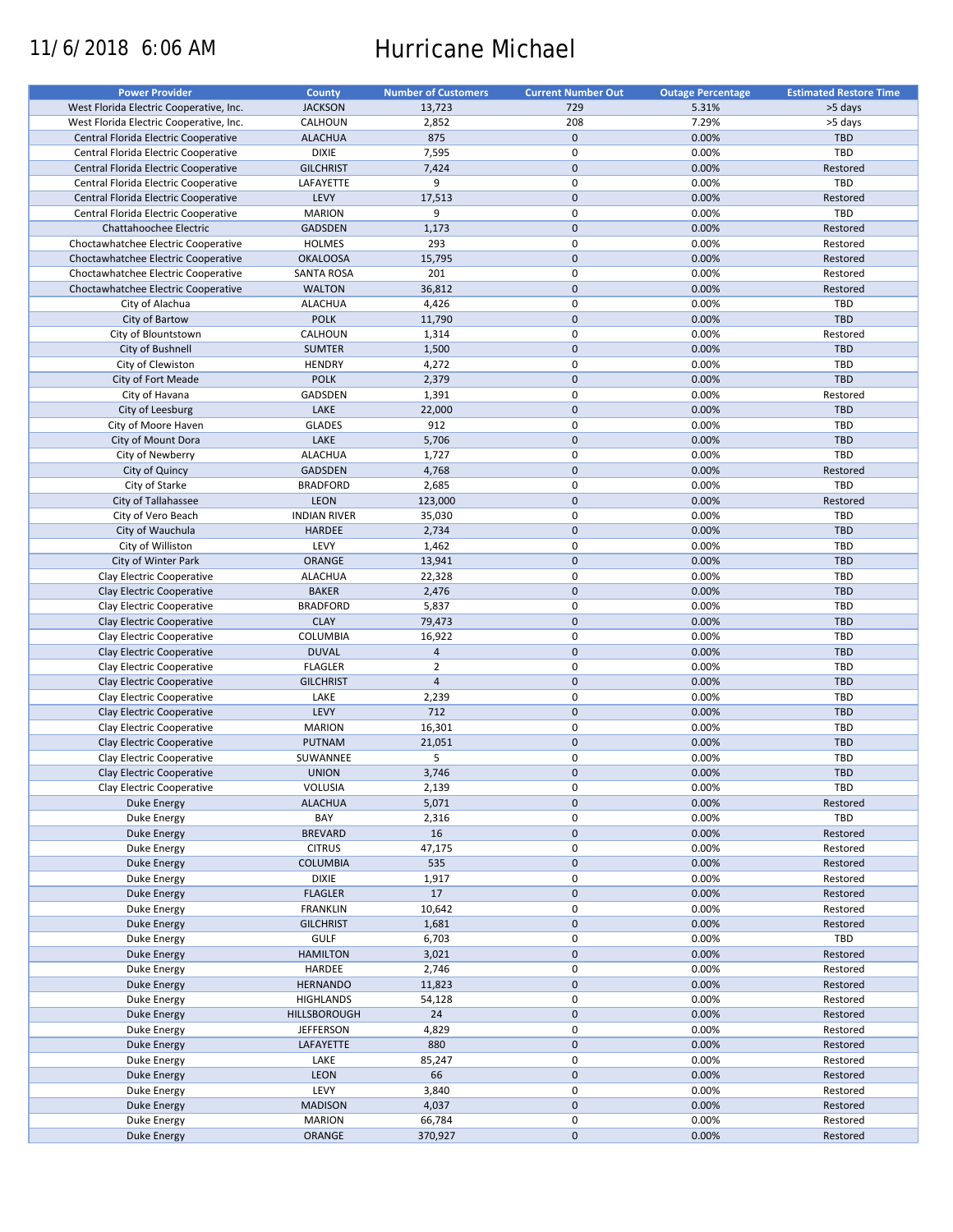# 11/6/2018 6:06 AM Hurricane Michael

| <b>Power Provider</b>                   | <b>County</b>       | <b>Number of Customers</b> | <b>Current Number Out</b> | <b>Outage Percentage</b> | <b>Estimated Restore Time</b> |
|-----------------------------------------|---------------------|----------------------------|---------------------------|--------------------------|-------------------------------|
| West Florida Electric Cooperative, Inc. | <b>JACKSON</b>      | 13,723                     | 729                       | 5.31%                    | >5 days                       |
| West Florida Electric Cooperative, Inc. | CALHOUN             | 2,852                      | 208                       | 7.29%                    | >5 days                       |
| Central Florida Electric Cooperative    | <b>ALACHUA</b>      | 875                        | $\mathbf 0$               | 0.00%                    | <b>TBD</b>                    |
|                                         |                     |                            | $\pmb{0}$                 |                          | TBD                           |
| Central Florida Electric Cooperative    | <b>DIXIE</b>        | 7,595                      |                           | 0.00%                    |                               |
| Central Florida Electric Cooperative    | <b>GILCHRIST</b>    | 7,424                      | $\mathbf 0$               | 0.00%                    | Restored                      |
| Central Florida Electric Cooperative    | LAFAYETTE           | 9                          | $\pmb{0}$                 | 0.00%                    | TBD                           |
| Central Florida Electric Cooperative    | LEVY                | 17,513                     | $\mathbf 0$               | 0.00%                    | Restored                      |
| Central Florida Electric Cooperative    | <b>MARION</b>       | 9                          | $\mathbf 0$               | 0.00%                    | TBD                           |
| Chattahoochee Electric                  | <b>GADSDEN</b>      | 1,173                      | $\mathbf 0$               | 0.00%                    | Restored                      |
| Choctawhatchee Electric Cooperative     | <b>HOLMES</b>       | 293                        | $\pmb{0}$                 | 0.00%                    | Restored                      |
| Choctawhatchee Electric Cooperative     | <b>OKALOOSA</b>     | 15,795                     | $\mathbf 0$               | 0.00%                    | Restored                      |
| Choctawhatchee Electric Cooperative     | <b>SANTA ROSA</b>   | 201                        | $\mathbf 0$               | 0.00%                    | Restored                      |
| Choctawhatchee Electric Cooperative     | <b>WALTON</b>       | 36,812                     | $\mathbf 0$               | 0.00%                    | Restored                      |
|                                         |                     |                            |                           |                          |                               |
| City of Alachua                         | <b>ALACHUA</b>      | 4,426                      | $\pmb{0}$                 | 0.00%                    | TBD                           |
| City of Bartow                          | <b>POLK</b>         | 11,790                     | $\mathbf 0$               | 0.00%                    | <b>TBD</b>                    |
| City of Blountstown                     | CALHOUN             | 1,314                      | $\mathbf 0$               | 0.00%                    | Restored                      |
| City of Bushnell                        | <b>SUMTER</b>       | 1,500                      | $\mathbf 0$               | 0.00%                    | <b>TBD</b>                    |
| City of Clewiston                       | <b>HENDRY</b>       | 4,272                      | $\pmb{0}$                 | 0.00%                    | TBD                           |
| City of Fort Meade                      | <b>POLK</b>         | 2,379                      | $\mathbf 0$               | 0.00%                    | TBD                           |
| City of Havana                          | GADSDEN             | 1,391                      | $\pmb{0}$                 | 0.00%                    | Restored                      |
| City of Leesburg                        | LAKE                | 22,000                     | $\mathbf 0$               | 0.00%                    | TBD                           |
| City of Moore Haven                     | <b>GLADES</b>       | 912                        | $\pmb{0}$                 | 0.00%                    | <b>TBD</b>                    |
|                                         |                     |                            | $\mathbf 0$               |                          |                               |
| City of Mount Dora                      | LAKE                | 5,706                      |                           | 0.00%                    | TBD                           |
| City of Newberry                        | <b>ALACHUA</b>      | 1,727                      | $\mathbf 0$               | 0.00%                    | TBD                           |
| City of Quincy                          | <b>GADSDEN</b>      | 4,768                      | $\mathbf 0$               | 0.00%                    | Restored                      |
| City of Starke                          | <b>BRADFORD</b>     | 2,685                      | 0                         | 0.00%                    | TBD                           |
| City of Tallahassee                     | <b>LEON</b>         | 123,000                    | $\mathbf 0$               | 0.00%                    | Restored                      |
| City of Vero Beach                      | <b>INDIAN RIVER</b> | 35,030                     | 0                         | 0.00%                    | TBD                           |
| City of Wauchula                        | HARDEE              | 2,734                      | $\mathbf 0$               | 0.00%                    | <b>TBD</b>                    |
| City of Williston                       | LEVY                | 1,462                      | $\pmb{0}$                 | 0.00%                    | TBD                           |
| City of Winter Park                     | ORANGE              | 13,941                     | $\mathbf 0$               | 0.00%                    | TBD                           |
|                                         |                     |                            | $\mathbf 0$               |                          |                               |
| Clay Electric Cooperative               | <b>ALACHUA</b>      | 22,328                     |                           | 0.00%                    | <b>TBD</b>                    |
| Clay Electric Cooperative               | <b>BAKER</b>        | 2,476                      | $\mathbf 0$               | 0.00%                    | TBD                           |
| Clay Electric Cooperative               | <b>BRADFORD</b>     | 5,837                      | $\pmb{0}$                 | 0.00%                    | <b>TBD</b>                    |
| Clay Electric Cooperative               | <b>CLAY</b>         | 79,473                     | $\mathbf 0$               | 0.00%                    | TBD                           |
| Clay Electric Cooperative               | COLUMBIA            | 16,922                     | $\pmb{0}$                 | 0.00%                    | TBD                           |
| Clay Electric Cooperative               | <b>DUVAL</b>        | $\overline{4}$             | $\mathbf 0$               | 0.00%                    | <b>TBD</b>                    |
| Clay Electric Cooperative               | <b>FLAGLER</b>      | $\overline{2}$             | $\pmb{0}$                 | 0.00%                    | TBD                           |
| Clay Electric Cooperative               | <b>GILCHRIST</b>    | $\overline{4}$             | $\mathbf 0$               | 0.00%                    | <b>TBD</b>                    |
| Clay Electric Cooperative               | LAKE                | 2,239                      | 0                         | 0.00%                    | TBD                           |
| Clay Electric Cooperative               | LEVY                | 712                        | $\mathbf 0$               | 0.00%                    | <b>TBD</b>                    |
|                                         |                     |                            |                           |                          |                               |
| Clay Electric Cooperative               | <b>MARION</b>       | 16,301                     | $\pmb{0}$                 | 0.00%                    | <b>TBD</b>                    |
| Clay Electric Cooperative               | PUTNAM              | 21,051                     | $\mathbf 0$               | 0.00%                    | TBD                           |
| Clay Electric Cooperative               | SUWANNEE            | 5                          | 0                         | 0.00%                    | <b>TBD</b>                    |
| Clay Electric Cooperative               | <b>UNION</b>        | 3,746                      | $\mathbf{0}$              | 0.00%                    | <b>TBD</b>                    |
| Clay Electric Cooperative               | VOLUSIA             | 2,139                      | $\pmb{0}$                 | 0.00%                    | TBD                           |
| Duke Energy                             | <b>ALACHUA</b>      | 5,071                      | $\pmb{0}$                 | 0.00%                    | Restored                      |
| <b>Duke Energy</b>                      | BAY                 | 2,316                      | 0                         | 0.00%                    | TBD                           |
| Duke Energy                             | <b>BREVARD</b>      | 16                         | $\pmb{0}$                 | 0.00%                    | Restored                      |
| Duke Energy                             | <b>CITRUS</b>       | 47,175                     | $\pmb{0}$                 | 0.00%                    | Restored                      |
|                                         |                     |                            | $\pmb{0}$                 | 0.00%                    |                               |
| <b>Duke Energy</b>                      | <b>COLUMBIA</b>     | 535                        |                           |                          | Restored                      |
| Duke Energy                             | <b>DIXIE</b>        | 1,917                      | $\pmb{0}$                 | 0.00%                    | Restored                      |
| Duke Energy                             | <b>FLAGLER</b>      | 17                         | $\pmb{0}$                 | 0.00%                    | Restored                      |
| Duke Energy                             | <b>FRANKLIN</b>     | 10,642                     | $\pmb{0}$                 | 0.00%                    | Restored                      |
| <b>Duke Energy</b>                      | <b>GILCHRIST</b>    | 1,681                      | $\pmb{0}$                 | 0.00%                    | Restored                      |
| Duke Energy                             | <b>GULF</b>         | 6,703                      | $\pmb{0}$                 | 0.00%                    | TBD                           |
| <b>Duke Energy</b>                      | <b>HAMILTON</b>     | 3,021                      | $\pmb{0}$                 | 0.00%                    | Restored                      |
| Duke Energy                             | HARDEE              | 2,746                      | $\pmb{0}$                 | 0.00%                    | Restored                      |
| <b>Duke Energy</b>                      | <b>HERNANDO</b>     | 11,823                     | $\pmb{0}$                 | 0.00%                    | Restored                      |
|                                         |                     |                            |                           |                          |                               |
| Duke Energy                             | <b>HIGHLANDS</b>    | 54,128                     | $\pmb{0}$                 | 0.00%                    | Restored                      |
| Duke Energy                             | HILLSBOROUGH        | 24                         | $\mathbf 0$               | 0.00%                    | Restored                      |
| Duke Energy                             | <b>JEFFERSON</b>    | 4,829                      | $\pmb{0}$                 | 0.00%                    | Restored                      |
| <b>Duke Energy</b>                      | LAFAYETTE           | 880                        | $\pmb{0}$                 | 0.00%                    | Restored                      |
| Duke Energy                             | LAKE                | 85,247                     | $\pmb{0}$                 | 0.00%                    | Restored                      |
| <b>Duke Energy</b>                      | LEON                | 66                         | $\pmb{0}$                 | 0.00%                    | Restored                      |
| Duke Energy                             | LEVY                | 3,840                      | $\pmb{0}$                 | 0.00%                    | Restored                      |
| <b>Duke Energy</b>                      | <b>MADISON</b>      | 4,037                      | $\pmb{0}$                 | 0.00%                    | Restored                      |
| Duke Energy                             | <b>MARION</b>       | 66,784                     | $\pmb{0}$                 | 0.00%                    | Restored                      |
|                                         |                     |                            |                           |                          |                               |
| <b>Duke Energy</b>                      | ORANGE              | 370,927                    | $\pmb{0}$                 | 0.00%                    | Restored                      |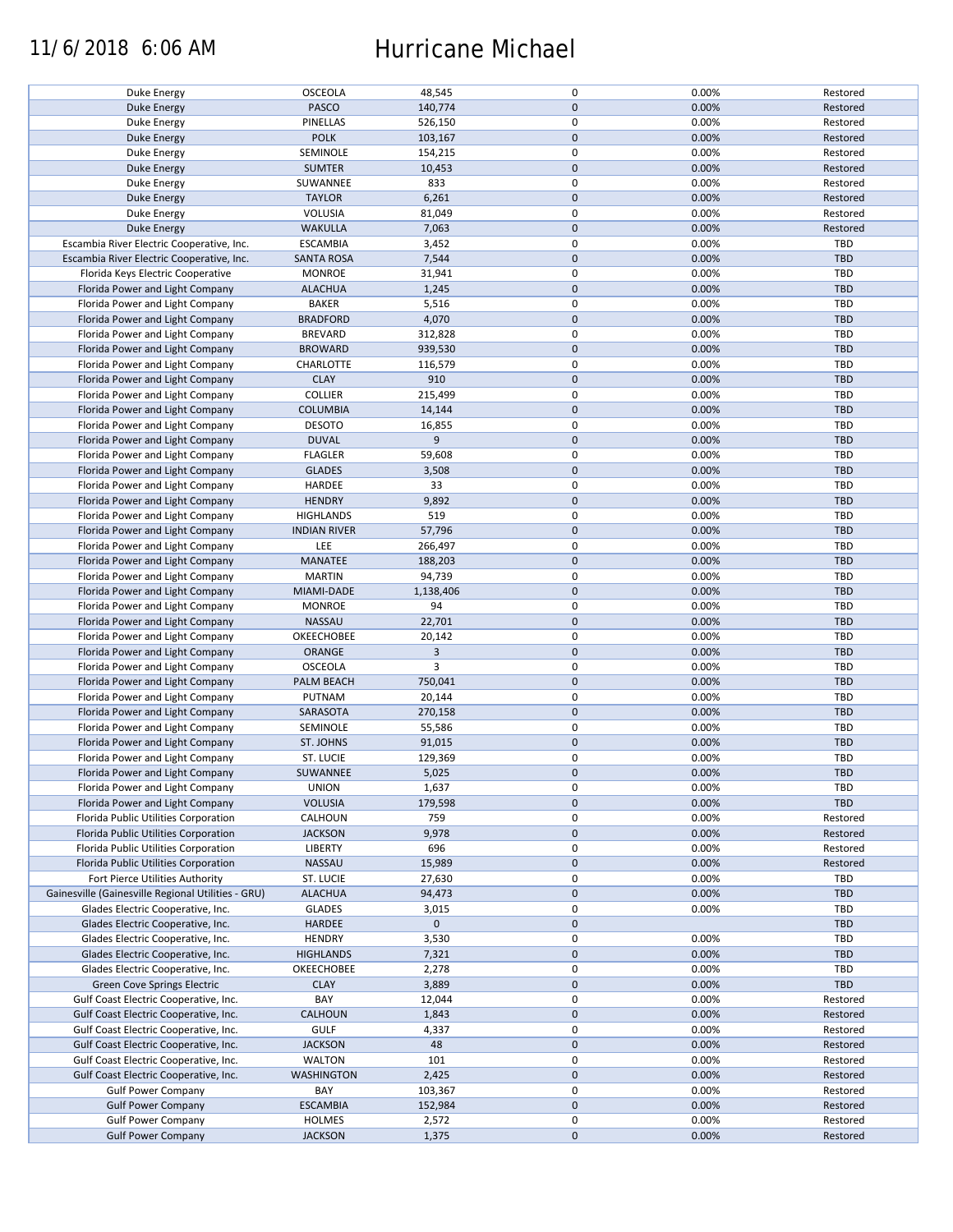### 11/6/2018 6:06 AM Hurricane Michael

| Duke Energy                                        | OSCEOLA             | 48,545      | 0            | 0.00% | Restored   |
|----------------------------------------------------|---------------------|-------------|--------------|-------|------------|
| <b>Duke Energy</b>                                 | <b>PASCO</b>        | 140,774     | $\mathbf 0$  | 0.00% | Restored   |
|                                                    |                     |             |              |       |            |
| Duke Energy                                        | <b>PINELLAS</b>     | 526,150     | $\pmb{0}$    | 0.00% | Restored   |
| <b>Duke Energy</b>                                 | <b>POLK</b>         | 103,167     | $\pmb{0}$    | 0.00% | Restored   |
|                                                    |                     |             | $\pmb{0}$    |       |            |
| Duke Energy                                        | SEMINOLE            | 154,215     |              | 0.00% | Restored   |
| <b>Duke Energy</b>                                 | <b>SUMTER</b>       | 10,453      | $\mathbf 0$  | 0.00% | Restored   |
| Duke Energy                                        | SUWANNEE            | 833         | $\pmb{0}$    | 0.00% | Restored   |
|                                                    |                     |             |              |       |            |
| Duke Energy                                        | <b>TAYLOR</b>       | 6,261       | $\pmb{0}$    | 0.00% | Restored   |
| Duke Energy                                        | VOLUSIA             | 81,049      | 0            | 0.00% | Restored   |
|                                                    |                     |             |              |       |            |
| Duke Energy                                        | <b>WAKULLA</b>      | 7,063       | $\pmb{0}$    | 0.00% | Restored   |
| Escambia River Electric Cooperative, Inc.          | <b>ESCAMBIA</b>     | 3,452       | $\pmb{0}$    | 0.00% | <b>TBD</b> |
|                                                    |                     |             |              |       |            |
| Escambia River Electric Cooperative, Inc.          | <b>SANTA ROSA</b>   | 7,544       | $\mathbf 0$  | 0.00% | <b>TBD</b> |
| Florida Keys Electric Cooperative                  | <b>MONROE</b>       | 31,941      | $\pmb{0}$    | 0.00% | TBD        |
|                                                    |                     |             | $\mathbf 0$  |       |            |
| Florida Power and Light Company                    | <b>ALACHUA</b>      | 1,245       |              | 0.00% | <b>TBD</b> |
| Florida Power and Light Company                    | <b>BAKER</b>        | 5,516       | 0            | 0.00% | <b>TBD</b> |
| Florida Power and Light Company                    | <b>BRADFORD</b>     | 4,070       | $\pmb{0}$    | 0.00% | <b>TBD</b> |
|                                                    |                     |             |              |       |            |
| Florida Power and Light Company                    | <b>BREVARD</b>      | 312,828     | 0            | 0.00% | <b>TBD</b> |
| Florida Power and Light Company                    | <b>BROWARD</b>      | 939,530     | $\pmb{0}$    | 0.00% | <b>TBD</b> |
|                                                    |                     |             |              |       |            |
| Florida Power and Light Company                    | CHARLOTTE           | 116,579     | $\pmb{0}$    | 0.00% | TBD        |
| Florida Power and Light Company                    | <b>CLAY</b>         | 910         | $\pmb{0}$    | 0.00% | <b>TBD</b> |
|                                                    |                     |             |              |       |            |
| Florida Power and Light Company                    | <b>COLLIER</b>      | 215,499     | $\pmb{0}$    | 0.00% | <b>TBD</b> |
| Florida Power and Light Company                    | <b>COLUMBIA</b>     | 14,144      | $\mathbf 0$  | 0.00% | <b>TBD</b> |
|                                                    |                     |             |              |       |            |
| Florida Power and Light Company                    | <b>DESOTO</b>       | 16,855      | $\pmb{0}$    | 0.00% | <b>TBD</b> |
| Florida Power and Light Company                    | <b>DUVAL</b>        | 9           | $\mathbf 0$  | 0.00% | <b>TBD</b> |
|                                                    |                     |             | $\pmb{0}$    |       |            |
| Florida Power and Light Company                    | <b>FLAGLER</b>      | 59,608      |              | 0.00% | <b>TBD</b> |
| Florida Power and Light Company                    | <b>GLADES</b>       | 3,508       | $\pmb{0}$    | 0.00% | TBD        |
| Florida Power and Light Company                    | HARDEE              | 33          | 0            | 0.00% | <b>TBD</b> |
|                                                    |                     |             |              |       |            |
| Florida Power and Light Company                    | <b>HENDRY</b>       | 9,892       | $\mathbf 0$  | 0.00% | <b>TBD</b> |
| Florida Power and Light Company                    | <b>HIGHLANDS</b>    | 519         | $\pmb{0}$    | 0.00% | <b>TBD</b> |
|                                                    |                     |             |              |       |            |
| Florida Power and Light Company                    | <b>INDIAN RIVER</b> | 57,796      | $\mathbf 0$  | 0.00% | <b>TBD</b> |
| Florida Power and Light Company                    | LEE                 | 266,497     | 0            | 0.00% | <b>TBD</b> |
|                                                    |                     |             |              |       |            |
| Florida Power and Light Company                    | <b>MANATEE</b>      | 188,203     | $\mathbf 0$  | 0.00% | <b>TBD</b> |
| Florida Power and Light Company                    | <b>MARTIN</b>       | 94,739      | 0            | 0.00% | TBD        |
|                                                    |                     |             |              |       |            |
| Florida Power and Light Company                    | MIAMI-DADE          | 1,138,406   | $\pmb{0}$    | 0.00% | TBD        |
| Florida Power and Light Company                    | <b>MONROE</b>       | 94          | 0            | 0.00% | <b>TBD</b> |
| Florida Power and Light Company                    | <b>NASSAU</b>       | 22,701      | $\mathbf 0$  | 0.00% | <b>TBD</b> |
|                                                    |                     |             |              |       |            |
| Florida Power and Light Company                    | OKEECHOBEE          | 20,142      | $\pmb{0}$    | 0.00% | <b>TBD</b> |
| Florida Power and Light Company                    | ORANGE              | 3           | $\mathbf 0$  | 0.00% | TBD        |
|                                                    |                     |             |              |       |            |
| Florida Power and Light Company                    | OSCEOLA             | 3           | 0            | 0.00% | TBD        |
| Florida Power and Light Company                    | PALM BEACH          | 750,041     | $\mathbf 0$  | 0.00% | <b>TBD</b> |
|                                                    |                     |             |              |       |            |
| Florida Power and Light Company                    | PUTNAM              | 20,144      | $\pmb{0}$    | 0.00% | <b>TBD</b> |
| Florida Power and Light Company                    | SARASOTA            | 270,158     | $\mathbf 0$  | 0.00% | <b>TBD</b> |
|                                                    |                     |             |              |       |            |
| Florida Power and Light Company                    | SEMINOLE            | 55,586      | 0            | 0.00% | TBD        |
| Florida Power and Light Company                    | ST. JOHNS           | 91,015      | $\mathbf 0$  | 0.00% | <b>TBD</b> |
| Florida Power and Light Company                    | ST. LUCIE           |             | 0            | 0.00% | TBD        |
|                                                    |                     | 129,369     |              |       |            |
| Florida Power and Light Company                    | SUWANNEE            | 5,025       | $\mathbf{0}$ | 0.00% | TBD        |
| Florida Power and Light Company                    | <b>UNION</b>        |             | 0            | 0.00% | TBD        |
|                                                    |                     | 1,637       |              |       |            |
| Florida Power and Light Company                    | <b>VOLUSIA</b>      | 179,598     | $\pmb{0}$    | 0.00% | <b>TBD</b> |
| Florida Public Utilities Corporation               | CALHOUN             | 759         | 0            | 0.00% | Restored   |
|                                                    |                     |             |              |       |            |
| Florida Public Utilities Corporation               | <b>JACKSON</b>      | 9,978       | $\pmb{0}$    | 0.00% | Restored   |
| Florida Public Utilities Corporation               | LIBERTY             | 696         | 0            | 0.00% | Restored   |
| Florida Public Utilities Corporation               | NASSAU              |             | $\mathbf 0$  |       | Restored   |
|                                                    |                     | 15,989      |              | 0.00% |            |
| Fort Pierce Utilities Authority                    | ST. LUCIE           | 27,630      | $\pmb{0}$    | 0.00% | TBD        |
| Gainesville (Gainesville Regional Utilities - GRU) | <b>ALACHUA</b>      | 94,473      | $\pmb{0}$    | 0.00% | <b>TBD</b> |
|                                                    |                     |             |              |       |            |
| Glades Electric Cooperative, Inc.                  | <b>GLADES</b>       | 3,015       | 0            | 0.00% | TBD        |
| Glades Electric Cooperative, Inc.                  | HARDEE              | $\mathbf 0$ | 0            |       | <b>TBD</b> |
|                                                    |                     |             |              |       |            |
| Glades Electric Cooperative, Inc.                  | <b>HENDRY</b>       | 3,530       | $\pmb{0}$    | 0.00% | <b>TBD</b> |
| Glades Electric Cooperative, Inc.                  | <b>HIGHLANDS</b>    | 7,321       | $\pmb{0}$    | 0.00% | <b>TBD</b> |
|                                                    |                     |             |              |       |            |
| Glades Electric Cooperative, Inc.                  | OKEECHOBEE          | 2,278       | 0            | 0.00% | TBD        |
| <b>Green Cove Springs Electric</b>                 | <b>CLAY</b>         | 3,889       | $\mathbf 0$  | 0.00% | <b>TBD</b> |
|                                                    |                     |             |              |       |            |
| Gulf Coast Electric Cooperative, Inc.              | BAY                 | 12,044      | 0            | 0.00% | Restored   |
| Gulf Coast Electric Cooperative, Inc.              | <b>CALHOUN</b>      | 1,843       | 0            | 0.00% | Restored   |
|                                                    |                     |             |              |       |            |
| Gulf Coast Electric Cooperative, Inc.              | <b>GULF</b>         | 4,337       | 0            | 0.00% | Restored   |
| Gulf Coast Electric Cooperative, Inc.              | <b>JACKSON</b>      | 48          | $\mathbf 0$  | 0.00% | Restored   |
| Gulf Coast Electric Cooperative, Inc.              | <b>WALTON</b>       | 101         | 0            | 0.00% | Restored   |
|                                                    |                     |             |              |       |            |
| Gulf Coast Electric Cooperative, Inc.              | WASHINGTON          | 2,425       | $\mathbf 0$  | 0.00% | Restored   |
| <b>Gulf Power Company</b>                          | BAY                 | 103,367     | 0            | 0.00% | Restored   |
|                                                    |                     |             |              |       |            |
| <b>Gulf Power Company</b>                          | <b>ESCAMBIA</b>     | 152,984     | $\mathbf 0$  | 0.00% | Restored   |
| <b>Gulf Power Company</b>                          | <b>HOLMES</b>       | 2,572       | 0            | 0.00% | Restored   |
|                                                    |                     |             |              |       |            |
| <b>Gulf Power Company</b>                          | <b>JACKSON</b>      | 1,375       | $\mathbf 0$  | 0.00% | Restored   |